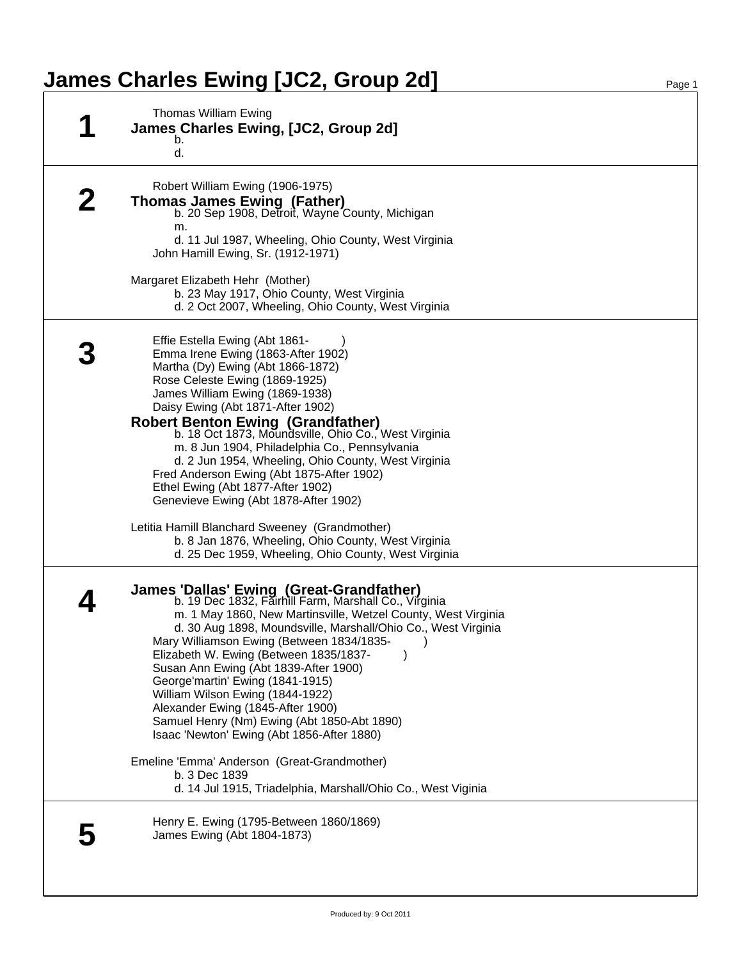## **James Charles Ewing [JC2, Group 2d]** Page 1

| Thomas William Ewing<br>James Charles Ewing, [JC2, Group 2d]<br>b.<br>d.                                                                                                                                                                                                                                                                                                                                                                                                                                                                                                      |
|-------------------------------------------------------------------------------------------------------------------------------------------------------------------------------------------------------------------------------------------------------------------------------------------------------------------------------------------------------------------------------------------------------------------------------------------------------------------------------------------------------------------------------------------------------------------------------|
| Robert William Ewing (1906-1975)<br><b>Thomas James Ewing (Father)</b><br>b. 20 Sep 1908, Detroit, Wayne County, Michigan<br>m.<br>d. 11 Jul 1987, Wheeling, Ohio County, West Virginia<br>John Hamill Ewing, Sr. (1912-1971)                                                                                                                                                                                                                                                                                                                                                 |
| Margaret Elizabeth Hehr (Mother)<br>b. 23 May 1917, Ohio County, West Virginia<br>d. 2 Oct 2007, Wheeling, Ohio County, West Virginia                                                                                                                                                                                                                                                                                                                                                                                                                                         |
| Effie Estella Ewing (Abt 1861-<br>Emma Irene Ewing (1863-After 1902)<br>Martha (Dy) Ewing (Abt 1866-1872)<br>Rose Celeste Ewing (1869-1925)<br>James William Ewing (1869-1938)<br>Daisy Ewing (Abt 1871-After 1902)<br><b>Robert Benton Ewing (Grandfather)</b><br>b. 18 Oct 1873, Moundsville, Ohio Co., West Virginia<br>m. 8 Jun 1904, Philadelphia Co., Pennsylvania<br>d. 2 Jun 1954, Wheeling, Ohio County, West Virginia<br>Fred Anderson Ewing (Abt 1875-After 1902)<br>Ethel Ewing (Abt 1877-After 1902)<br>Genevieve Ewing (Abt 1878-After 1902)                    |
| Letitia Hamill Blanchard Sweeney (Grandmother)<br>b. 8 Jan 1876, Wheeling, Ohio County, West Virginia<br>d. 25 Dec 1959, Wheeling, Ohio County, West Virginia                                                                                                                                                                                                                                                                                                                                                                                                                 |
| James 'Dallas' Ewing (Great-Grandfather)<br>b. 19 Dec 1832, Fairhill Farm, Marshall Co., Virginia<br>m. 1 May 1860, New Martinsville, Wetzel County, West Virginia<br>d. 30 Aug 1898, Moundsville, Marshall/Ohio Co., West Virginia<br>Mary Williamson Ewing (Between 1834/1835-<br>Elizabeth W. Ewing (Between 1835/1837-<br>Susan Ann Ewing (Abt 1839-After 1900)<br>George'martin' Ewing (1841-1915)<br>William Wilson Ewing (1844-1922)<br>Alexander Ewing (1845-After 1900)<br>Samuel Henry (Nm) Ewing (Abt 1850-Abt 1890)<br>Isaac 'Newton' Ewing (Abt 1856-After 1880) |
| Emeline 'Emma' Anderson (Great-Grandmother)<br>b. 3 Dec 1839<br>d. 14 Jul 1915, Triadelphia, Marshall/Ohio Co., West Viginia                                                                                                                                                                                                                                                                                                                                                                                                                                                  |
| Henry E. Ewing (1795-Between 1860/1869)<br>James Ewing (Abt 1804-1873)                                                                                                                                                                                                                                                                                                                                                                                                                                                                                                        |